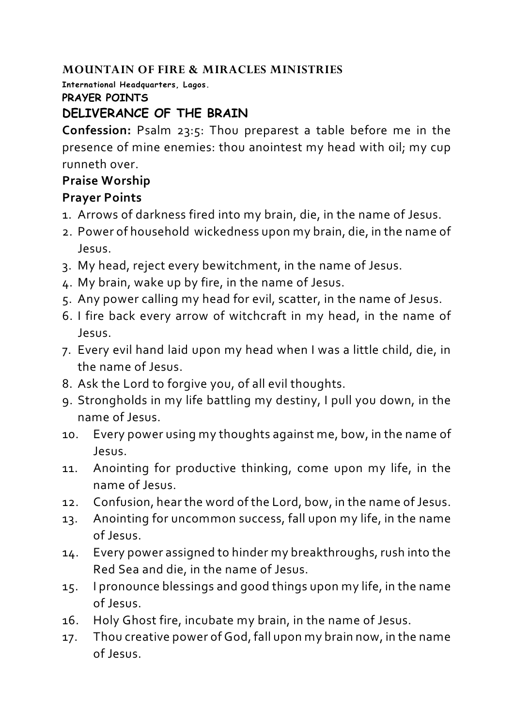### **MOUNTAIN OF FIRE & MIRACLES MINISTRIES**

**International Headquarters, Lagos.**

#### **PRAYER POINTS**

# **DELIVERANCE OF THE BRAIN**

**Confession:** Psalm 23:5: Thou preparest a table before me in the presence of mine enemies: thou anointest my head with oil; my cup runneth over.

## **Praise Worship**

# **Prayer Points**

- 1. Arrows of darkness fired into my brain, die, in the name of Jesus.
- 2. Power of household wickedness upon my brain, die, in the name of Jesus.
- 3. My head, reject every bewitchment, in the name of Jesus.
- 4. My brain, wake up by fire, in the name of Jesus.
- 5. Any power calling my head for evil, scatter, in the name of Jesus.
- 6. I fire back every arrow of witchcraft in my head, in the name of Jesus.
- 7. Every evil hand laid upon my head when I was a little child, die, in the name of Jesus.
- 8. Ask the Lord to forgive you, of all evil thoughts.
- 9. Strongholds in my life battling my destiny, I pull you down, in the name of Jesus.
- 10. Every power using my thoughts against me, bow, in the name of Jesus.
- 11. Anointing for productive thinking, come upon my life, in the name of Jesus.
- 12. Confusion, hear the word of the Lord, bow, in the name of Jesus.
- 13. Anointing for uncommon success, fall upon my life, in the name of Jesus.
- 14. Every power assigned to hinder my breakthroughs, rush into the Red Sea and die, in the name of Jesus.
- 15. I pronounce blessings and good things upon my life, in the name of Jesus.
- 16. Holy Ghost fire, incubate my brain, in the name of Jesus.
- 17. Thou creative power of God, fall upon my brain now, in the name of Jesus.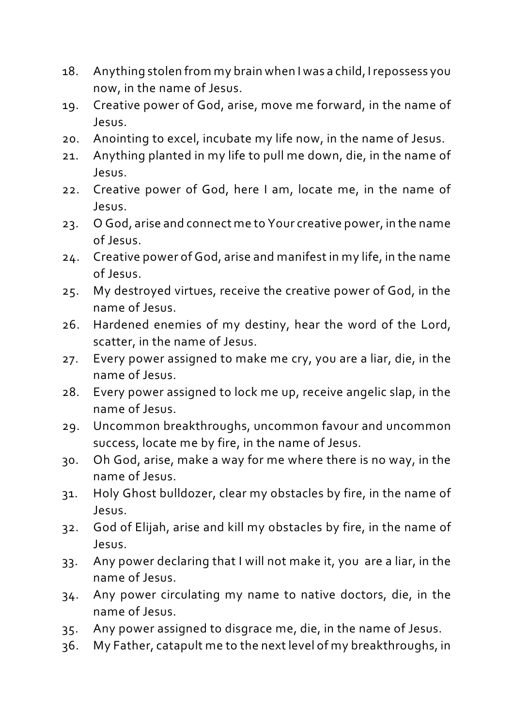- 18. Anything stolen from my brain when I was a child, Irepossess you now, in the name of Jesus.
- 19. Creative power of God, arise, move me forward, in the name of Jesus.
- 20. Anointing to excel, incubate my life now, in the name of Jesus.
- 21. Anything planted in my life to pull me down, die, in the name of Jesus.
- 22. Creative power of God, here I am, locate me, in the name of Jesus.
- 23. O God, arise and connect me to Your creative power, in the name of Jesus.
- 24. Creative power of God, arise and manifest in my life, in the name of Jesus.
- 25. My destroyed virtues, receive the creative power of God, in the name of Jesus.
- 26. Hardened enemies of my destiny, hear the word of the Lord, scatter, in the name of Jesus.
- 27. Every power assigned to make me cry, you are a liar, die, in the name of Jesus.
- 28. Every power assigned to lock me up, receive angelic slap, in the name of Jesus.
- 29. Uncommon breakthroughs, uncommon favour and uncommon success, locate me by fire, in the name of Jesus.
- 30. Oh God, arise, make a way for me where there is no way, in the name of Jesus.
- 31. Holy Ghost bulldozer, clear my obstacles by fire, in the name of Jesus.
- 32. God of Elijah, arise and kill my obstacles by fire, in the name of Jesus.
- 33. Any power declaring that I will not make it, you are a liar, in the name of Jesus.
- 34. Any power circulating my name to native doctors, die, in the name of Jesus.
- 35. Any power assigned to disgrace me, die, in the name of Jesus.
- 36. My Father, catapult me to the next level of my breakthroughs, in